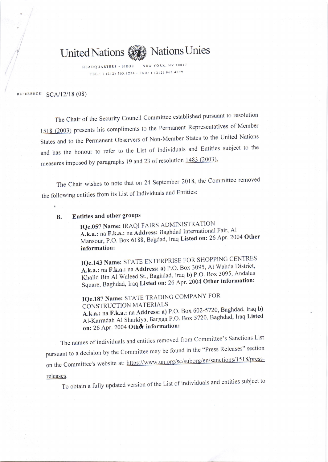

HEADQUARTERS · SIEGE TEL.: I (212) 963.1234 · FAX: I (212) 963.4879

REFERENCE: SCA/12/18 (08)

The chair of the security council committee established pursuant to resolution 1518 (2003) presents his compliments to the Permanent Representatives of Member States and to the Permanent Observers of Non-Member States to the United Nations and has the honour to refer to the List of Individuals and Entities subject to the measures imposed by paragraphs 19 and 23 of resolution 1483 (2003).

The Chair wishes to note that on 24 September 2018, the Committee removed the following entities from its List of Individuals and Entities

## B. Entities and other groups

IQe.057 Name: IRAQI FAIRS ADMINISTRATION A.k.a.: na F.k.a.: na Address: Baghdad International Fair, Al Mansour, P.O. Box 6188, Bagdad, Iraq Listed on: 26 Apr. 2004 Other information:

IQe.l43 Name: STATE ENTERPRISE FOR SHOPPING CENTRES A.k.a.: na F.k.a.: na Address: a) P.O. Box 3095, Al Wahda District, Khalid Bin Al Waleed St., Baghdad, Iraq b) P.O. Box 3095, Andalus Square, Baghdad, Iraq Listed on: 26 Apr. 2004 Other information:

IQe.187 Name: STATE TRADING COMPANY FOR CONSTRUCTION MATERIALS A.k.a.: na F.k.a.: na Address: a) P.O. Box 602-5720, Baghdad, Iraq b) Al-Karradah Al Sharkiya, Багдад P.O. Box 5720, Baghdad, Iraq Listed on: 26 Apr. 2004 Other information:

The names of individuals and entities removed from Committee's Sanctions List pursuant to a decision by the committee may be found in the "Press Releases" section on the Committee's website at: https://www.un.org/sc/suborg/en/sanctions/1518/pressreleases.

To obtain a fully updated version of the List of individuals and entities subject to